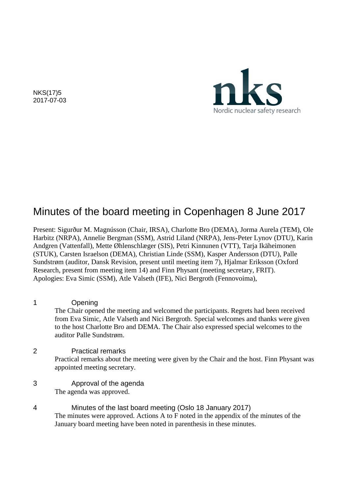NKS(17)5 2017-07-03



# Minutes of the board meeting in Copenhagen 8 June 2017

Present: Sigurður M. Magnússon (Chair, IRSA), Charlotte Bro (DEMA), Jorma Aurela (TEM), Ole Harbitz (NRPA), Annelie Bergman (SSM), Astrid Liland (NRPA), Jens-Peter Lynov (DTU), Karin Andgren (Vattenfall), Mette Øhlenschlæger (SIS), Petri Kinnunen (VTT), Tarja Ikäheimonen (STUK), Carsten Israelson (DEMA), Christian Linde (SSM), Kasper Andersson (DTU), Palle Sundstrøm (auditor, Dansk Revision, present until meeting item 7), Hjalmar Eriksson (Oxford Research, present from meeting item 14) and Finn Physant (meeting secretary, FRIT). Apologies: Eva Simic (SSM), Atle Valseth (IFE), Nici Bergroth (Fennovoima),

1 Opening The Chair opened the meeting and welcomed the participants. Regrets had been received from Eva Simic, Atle Valseth and Nici Bergroth. Special welcomes and thanks were given to the host Charlotte Bro and DEMA. The Chair also expressed special welcomes to the auditor Palle Sundstrøm.

2 Practical remarks Practical remarks about the meeting were given by the Chair and the host. Finn Physant was appointed meeting secretary.

- 3 Approval of the agenda The agenda was approved.
- 4 Minutes of the last board meeting (Oslo 18 January 2017) The minutes were approved. Actions A to F noted in the appendix of the minutes of the January board meeting have been noted in parenthesis in these minutes.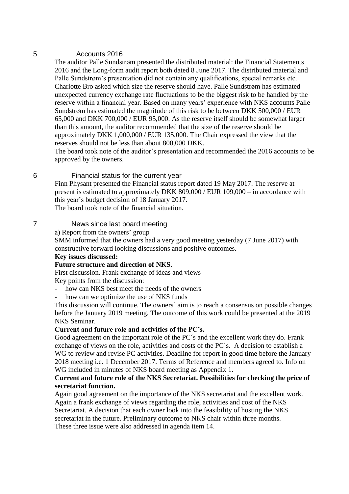# 5 Accounts 2016

The auditor Palle Sundstrøm presented the distributed material: the Financial Statements 2016 and the Long-form audit report both dated 8 June 2017. The distributed material and Palle Sundstrøm's presentation did not contain any qualifications, special remarks etc. Charlotte Bro asked which size the reserve should have. Palle Sundstrøm has estimated unexpected currency exchange rate fluctuations to be the biggest risk to be handled by the reserve within a financial year. Based on many years' experience with NKS accounts Palle Sundstrøm has estimated the magnitude of this risk to be between DKK 500,000 / EUR 65,000 and DKK 700,000 / EUR 95,000. As the reserve itself should be somewhat larger than this amount, the auditor recommended that the size of the reserve should be approximately DKK 1,000,000 / EUR 135,000. The Chair expressed the view that the reserves should not be less than about 800,000 DKK.

The board took note of the auditor's presentation and recommended the 2016 accounts to be approved by the owners.

# 6 Financial status for the current year

Finn Physant presented the Financial status report dated 19 May 2017. The reserve at present is estimated to approximately DKK 809,000 / EUR 109,000 – in accordance with this year's budget decision of 18 January 2017.

The board took note of the financial situation.

# 7 News since last board meeting

a) Report from the owners' group

SMM informed that the owners had a very good meeting yesterday (7 June 2017) with constructive forward looking discussions and positive outcomes.

# **Key issues discussed:**

# **Future structure and direction of NKS.**

First discussion. Frank exchange of ideas and views Key points from the discussion:

- how can NKS best meet the needs of the owners
- how can we optimize the use of NKS funds

This discussion will continue. The owners' aim is to reach a consensus on possible changes before the January 2019 meeting. The outcome of this work could be presented at the 2019 NKS Seminar.

# **Current and future role and activities of the PC's.**

Good agreement on the important role of the PC´s and the excellent work they do. Frank exchange of views on the role, activities and costs of the PC´s. A decision to establish a WG to review and revise PC activities. Deadline for report in good time before the January 2018 meeting i.e. 1 December 2017. Terms of Reference and members agreed to. Info on WG included in minutes of NKS board meeting as Appendix 1.

# **Current and future role of the NKS Secretariat. Possibilities for checking the price of secretariat function.**

Again good agreement on the importance of the NKS secretariat and the excellent work. Again a frank exchange of views regarding the role, activities and cost of the NKS Secretariat. A decision that each owner look into the feasibility of hosting the NKS secretariat in the future. Preliminary outcome to NKS chair within three months. These three issue were also addressed in agenda item 14.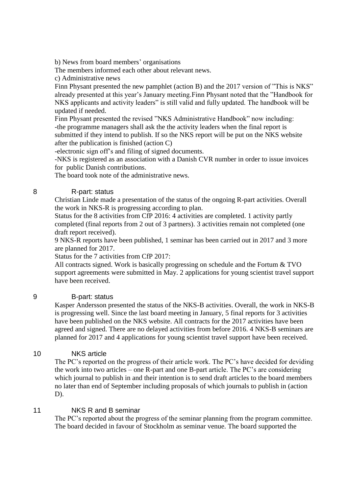b) News from board members' organisations

The members informed each other about relevant news.

c) Administrative news

Finn Physant presented the new pamphlet (action B) and the 2017 version of "This is NKS" already presented at this year's January meeting.Finn Physant noted that the "Handbook for NKS applicants and activity leaders" is still valid and fully updated. The handbook will be updated if needed.

Finn Physant presented the revised "NKS Administrative Handbook" now including: -the programme managers shall ask the the activity leaders when the final report is submitted if they intend to publish. If so the NKS report will be put on the NKS website after the publication is finished (action C)

-electronic sign off's and filing of signed documents.

-NKS is registered as an association with a Danish CVR number in order to issue invoices for public Danish contributions.

The board took note of the administrative news.

# 8 R-part: status

Christian Linde made a presentation of the status of the ongoing R-part activities. Overall the work in NKS-R is progressing according to plan.

Status for the 8 activities from CfP 2016: 4 activities are completed. 1 activity partly completed (final reports from 2 out of 3 partners). 3 activities remain not completed (one draft report received).

9 NKS-R reports have been published, 1 seminar has been carried out in 2017 and 3 more are planned for 2017.

Status for the 7 activities from CfP 2017:

All contracts signed. Work is basically progressing on schedule and the Fortum & TVO support agreements were submitted in May. 2 applications for young scientist travel support have been received.

# 9 B-part: status

Kasper Andersson presented the status of the NKS-B activities. Overall, the work in NKS-B is progressing well. Since the last board meeting in January, 5 final reports for 3 activities have been published on the NKS website. All contracts for the 2017 activities have been agreed and signed. There are no delayed activities from before 2016. 4 NKS-B seminars are planned for 2017 and 4 applications for young scientist travel support have been received.

# 10 NKS article

The PC's reported on the progress of their article work. The PC's have decided for deviding the work into two articles – one R-part and one B-part article. The PC's are considering which journal to publish in and their intention is to send draft articles to the board members no later than end of September including proposals of which journals to publish in (action D).

# 11 NKS R and B seminar

The PC's reported about the progress of the seminar planning from the program committee. The board decided in favour of Stockholm as seminar venue. The board supported the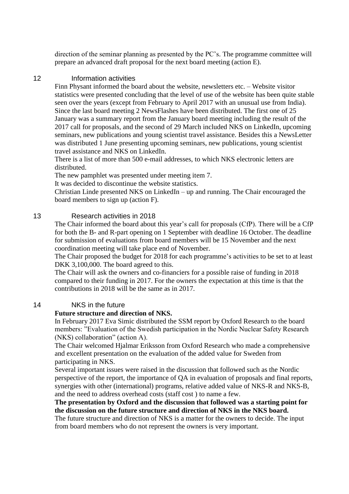direction of the seminar planning as presented by the PC's. The programme committee will prepare an advanced draft proposal for the next board meeting (action E).

# 12 Information activities

Finn Physant informed the board about the website, newsletters etc. – Website visitor statistics were presented concluding that the level of use of the website has been quite stable seen over the years (except from February to April 2017 with an unusual use from India). Since the last board meeting 2 NewsFlashes have been distributed. The first one of 25 January was a summary report from the January board meeting including the result of the 2017 call for proposals, and the second of 29 March included NKS on LinkedIn, upcoming seminars, new publications and young scientist travel assistance. Besides this a NewsLetter was distributed 1 June presenting upcoming seminars, new publications, young scientist travel assistance and NKS on LinkedIn.

There is a list of more than 500 e-mail addresses, to which NKS electronic letters are distributed.

The new pamphlet was presented under meeting item 7.

It was decided to discontinue the website statistics.

Christian Linde presented NKS on LinkedIn – up and running. The Chair encouraged the board members to sign up (action F).

# 13 Research activities in 2018

The Chair informed the board about this year's call for proposals (CfP). There will be a CfP for both the B- and R-part opening on 1 September with deadline 16 October. The deadline for submission of evaluations from board members will be 15 November and the next coordination meeting will take place end of November.

The Chair proposed the budget for 2018 for each programme's activities to be set to at least DKK 3,100,000. The board agreed to this.

The Chair will ask the owners and co-financiers for a possible raise of funding in 2018 compared to their funding in 2017. For the owners the expectation at this time is that the contributions in 2018 will be the same as in 2017.

# 14 NKS in the future

# **Future structure and direction of NKS.**

In February 2017 Eva Simic distributed the SSM report by Oxford Research to the board members: "Evaluation of the Swedish participation in the Nordic Nuclear Safety Research (NKS) collaboration" (action A).

The Chair welcomed Hjalmar Eriksson from Oxford Research who made a comprehensive and excellent presentation on the evaluation of the added value for Sweden from participating in NKS.

Several important issues were raised in the discussion that followed such as the Nordic perspective of the report, the importance of QA in evaluation of proposals and final reports, synergies with other (international) programs, relative added value of NKS-R and NKS-B, and the need to address overhead costs (staff cost ) to name a few.

**The presentation by Oxford and the discussion that followed was a starting point for the discussion on the future structure and direction of NKS in the NKS board.**  The future structure and direction of NKS is a matter for the owners to decide. The input from board members who do not represent the owners is very important.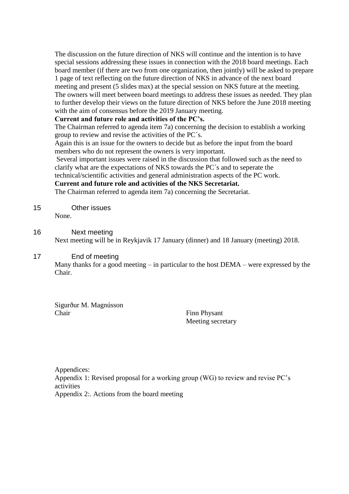The discussion on the future direction of NKS will continue and the intention is to have special sessions addressing these issues in connection with the 2018 board meetings. Each board member (if there are two from one organization, then jointly) will be asked to prepare 1 page of text reflecting on the future direction of NKS in advance of the next board meeting and present (5 slides max) at the special session on NKS future at the meeting. The owners will meet between board meetings to address these issues as needed. They plan to further develop their views on the future direction of NKS before the June 2018 meeting with the aim of consensus before the 2019 January meeting.

# **Current and future role and activities of the PC's.**

The Chairman referred to agenda item 7a) concerning the decision to establish a working group to review and revise the activities of the PC´s.

Again this is an issue for the owners to decide but as before the input from the board members who do not represent the owners is very important.

Several important issues were raised in the discussion that followed such as the need to clarify what are the expectations of NKS towards the PC´s and to seperate the

technical/scientific activities and general administration aspects of the PC work.

**Current and future role and activities of the NKS Secretariat.** 

The Chairman referred to agenda item 7a) concerning the Secretariat.

15 Other issues None.

# 16 Next meeting

Next meeting will be in Reykjavik 17 January (dinner) and 18 January (meeting) 2018.

# 17 End of meeting

Many thanks for a good meeting – in particular to the host DEMA – were expressed by the Chair.

Sigurður M. Magnússon Chair Finn Physant

Meeting secretary

Appendices: Appendix 1: Revised proposal for a working group (WG) to review and revise PC's activities Appendix 2:. Actions from the board meeting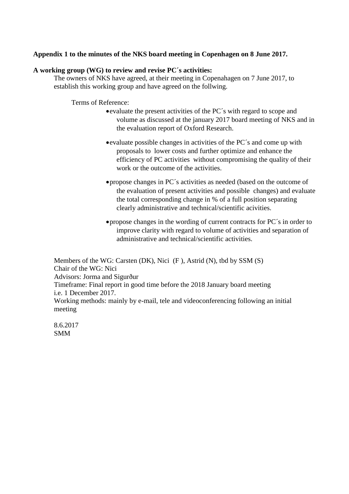# **Appendix 1 to the minutes of the NKS board meeting in Copenhagen on 8 June 2017.**

# **A working group (WG) to review and revise PC´s activities:**

The owners of NKS have agreed, at their meeting in Copenahagen on 7 June 2017, to establish this working group and have agreed on the follwing.

Terms of Reference:

- evaluate the present activities of the PC´s with regard to scope and volume as discussed at the january 2017 board meeting of NKS and in the evaluation report of Oxford Research.
- evaluate possible changes in activities of the PC´s and come up with proposals to lower costs and further optimize and enhance the efficiency of PC activities without compromising the quality of their work or the outcome of the activities.
- propose changes in PC´s activities as needed (based on the outcome of the evaluation of present activities and possible changes) and evaluate the total corresponding change in % of a full position separating clearly administrative and technical/scientific acivities.
- propose changes in the wording of current contracts for PC´s in order to improve clarity with regard to volume of activities and separation of administrative and technical/scientific activities.

Members of the WG: Carsten (DK), Nici (F ), Astrid (N), tbd by SSM (S) Chair of the WG: Nici Advisors: Jorma and Sigurður Timeframe: Final report in good time before the 2018 January board meeting i.e. 1 December 2017. Working methods: mainly by e-mail, tele and videoconferencing following an initial meeting

8.6.2017 SMM